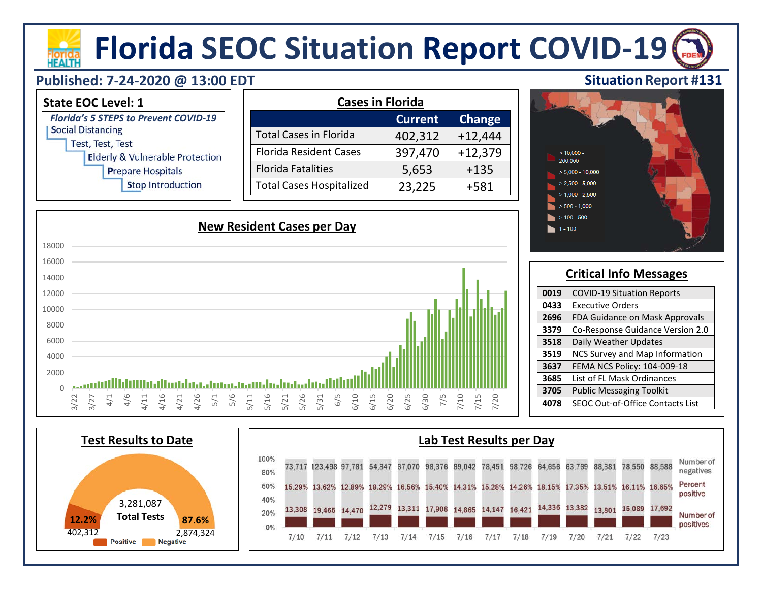# **Florida SEOC Situation Report COVID-19**

### **Published: 7-24-2020 @ 13:00 EDT**



#### **Critical Info Messages 0019** | COVID-19 Situation Reports **0433** | Executive Orders 2696 | FDA Guidance on Mask Approvals **3379** Co-Response Guidance Version 2.0 **3518** Daily Weather Updates **3519** NCS Survey and Map Information **3637** FEMA NCS Policy: 104-009-18 **3685** List of FL Mask Ordinances **3705** Public Messaging Toolkit **4078** SEOC Out-of-Office Contacts List

 $1 - 100$ 





### **Situation Report #131**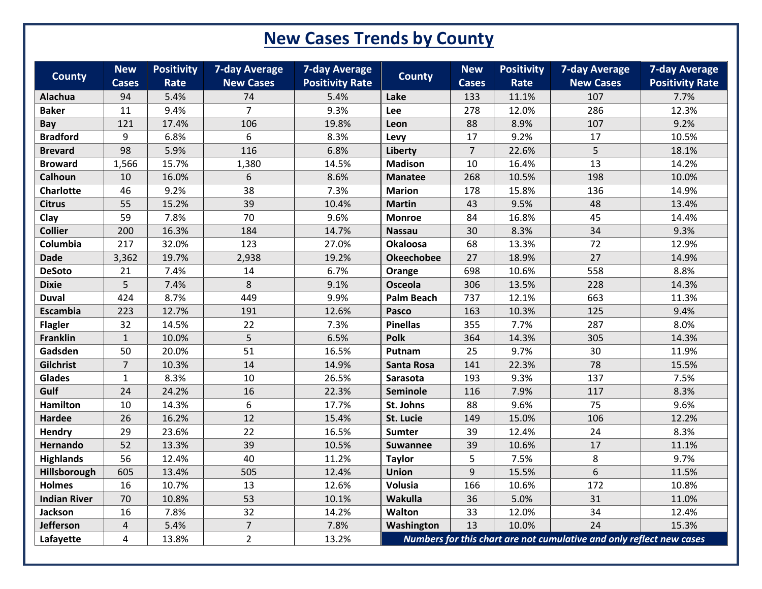## **New Cases Trends by County**

| <b>County</b>                 | <b>New</b>         | <b>Positivity</b> | <b>7-day Average</b><br><b>New Cases</b> | <b>7-day Average</b>           | <b>County</b>     | <b>New</b>          | <b>Positivity</b><br>Rate | <b>7-day Average</b><br><b>New Cases</b>                             | <b>7-day Average</b>           |
|-------------------------------|--------------------|-------------------|------------------------------------------|--------------------------------|-------------------|---------------------|---------------------------|----------------------------------------------------------------------|--------------------------------|
| Alachua                       | <b>Cases</b><br>94 | Rate<br>5.4%      | 74                                       | <b>Positivity Rate</b><br>5.4% | Lake              | <b>Cases</b><br>133 | 11.1%                     | 107                                                                  | <b>Positivity Rate</b><br>7.7% |
| <b>Baker</b>                  | 11                 | 9.4%              | $\overline{7}$                           | 9.3%                           | Lee               | 278                 | 12.0%                     | 286                                                                  | 12.3%                          |
|                               | 121                |                   | 106                                      |                                |                   |                     |                           | 107                                                                  |                                |
| <b>Bay</b><br><b>Bradford</b> | 9                  | 17.4%<br>6.8%     | 6                                        | 19.8%                          | Leon              | 88<br>17            | 8.9%                      | 17                                                                   | 9.2%<br>10.5%                  |
|                               |                    |                   |                                          | 8.3%                           | Levy              |                     | 9.2%                      |                                                                      |                                |
| <b>Brevard</b>                | 98                 | 5.9%              | 116                                      | 6.8%                           | Liberty           | $\overline{7}$      | 22.6%                     | 5                                                                    | 18.1%                          |
| <b>Broward</b>                | 1,566              | 15.7%             | 1,380                                    | 14.5%                          | <b>Madison</b>    | 10                  | 16.4%                     | 13                                                                   | 14.2%                          |
| Calhoun                       | 10                 | 16.0%             | 6                                        | 8.6%                           | <b>Manatee</b>    | 268                 | 10.5%                     | 198                                                                  | 10.0%                          |
| <b>Charlotte</b>              | 46                 | 9.2%              | 38                                       | 7.3%                           | <b>Marion</b>     | 178                 | 15.8%                     | 136                                                                  | 14.9%                          |
| <b>Citrus</b>                 | 55                 | 15.2%             | 39                                       | 10.4%                          | <b>Martin</b>     | 43                  | 9.5%                      | 48                                                                   | 13.4%                          |
| Clay                          | 59                 | 7.8%              | 70                                       | 9.6%                           | <b>Monroe</b>     | 84                  | 16.8%                     | 45                                                                   | 14.4%                          |
| <b>Collier</b>                | 200                | 16.3%             | 184                                      | 14.7%                          | <b>Nassau</b>     | 30                  | 8.3%                      | 34                                                                   | 9.3%                           |
| Columbia                      | 217                | 32.0%             | 123                                      | 27.0%                          | <b>Okaloosa</b>   | 68                  | 13.3%                     | 72                                                                   | 12.9%                          |
| <b>Dade</b>                   | 3,362              | 19.7%             | 2,938                                    | 19.2%                          | <b>Okeechobee</b> | 27                  | 18.9%                     | 27                                                                   | 14.9%                          |
| <b>DeSoto</b>                 | 21                 | 7.4%              | 14                                       | 6.7%                           | Orange            | 698                 | 10.6%                     | 558                                                                  | 8.8%                           |
| <b>Dixie</b>                  | 5                  | 7.4%              | 8                                        | 9.1%                           | Osceola           | 306                 | 13.5%                     | 228                                                                  | 14.3%                          |
| <b>Duval</b>                  | 424                | 8.7%              | 449                                      | 9.9%                           | <b>Palm Beach</b> | 737                 | 12.1%                     | 663                                                                  | 11.3%                          |
| Escambia                      | 223                | 12.7%             | 191                                      | 12.6%                          | Pasco             | 163                 | 10.3%                     | 125                                                                  | 9.4%                           |
| <b>Flagler</b>                | 32                 | 14.5%             | 22                                       | 7.3%                           | <b>Pinellas</b>   | 355                 | 7.7%                      | 287                                                                  | 8.0%                           |
| Franklin                      | $\mathbf{1}$       | 10.0%             | 5                                        | 6.5%                           | <b>Polk</b>       | 364                 | 14.3%                     | 305                                                                  | 14.3%                          |
| Gadsden                       | 50                 | 20.0%             | 51                                       | 16.5%                          | Putnam            | 25                  | 9.7%                      | 30                                                                   | 11.9%                          |
| Gilchrist                     | $\overline{7}$     | 10.3%             | 14                                       | 14.9%                          | <b>Santa Rosa</b> | 141                 | 22.3%                     | 78                                                                   | 15.5%                          |
| Glades                        | $\mathbf{1}$       | 8.3%              | 10                                       | 26.5%                          | Sarasota          | 193                 | 9.3%                      | 137                                                                  | 7.5%                           |
| Gulf                          | 24                 | 24.2%             | 16                                       | 22.3%                          | Seminole          | 116                 | 7.9%                      | 117                                                                  | 8.3%                           |
| Hamilton                      | 10                 | 14.3%             | 6                                        | 17.7%                          | St. Johns         | 88                  | 9.6%                      | 75                                                                   | 9.6%                           |
| <b>Hardee</b>                 | 26                 | 16.2%             | 12                                       | 15.4%                          | St. Lucie         | 149                 | 15.0%                     | 106                                                                  | 12.2%                          |
| Hendry                        | 29                 | 23.6%             | 22                                       | 16.5%                          | <b>Sumter</b>     | 39                  | 12.4%                     | 24                                                                   | 8.3%                           |
| Hernando                      | 52                 | 13.3%             | 39                                       | 10.5%                          | <b>Suwannee</b>   | 39                  | 10.6%                     | 17                                                                   | 11.1%                          |
| <b>Highlands</b>              | 56                 | 12.4%             | 40                                       | 11.2%                          | <b>Taylor</b>     | 5                   | 7.5%                      | 8                                                                    | 9.7%                           |
| Hillsborough                  | 605                | 13.4%             | 505                                      | 12.4%                          | <b>Union</b>      | 9                   | 15.5%                     | 6                                                                    | 11.5%                          |
| <b>Holmes</b>                 | 16                 | 10.7%             | 13                                       | 12.6%                          | Volusia           | 166                 | 10.6%                     | 172                                                                  | 10.8%                          |
| <b>Indian River</b>           | 70                 | 10.8%             | 53                                       | 10.1%                          | Wakulla           | 36                  | 5.0%                      | 31                                                                   | 11.0%                          |
| Jackson                       | 16                 | 7.8%              | 32                                       | 14.2%                          | Walton            | 33                  | 12.0%                     | 34                                                                   | 12.4%                          |
| Jefferson                     | 4                  | 5.4%              | $\overline{7}$                           | 7.8%                           | Washington        | 13                  | 10.0%                     | 24                                                                   | 15.3%                          |
| Lafayette                     | 4                  | 13.8%             | $\overline{2}$                           | 13.2%                          |                   |                     |                           | Numbers for this chart are not cumulative and only reflect new cases |                                |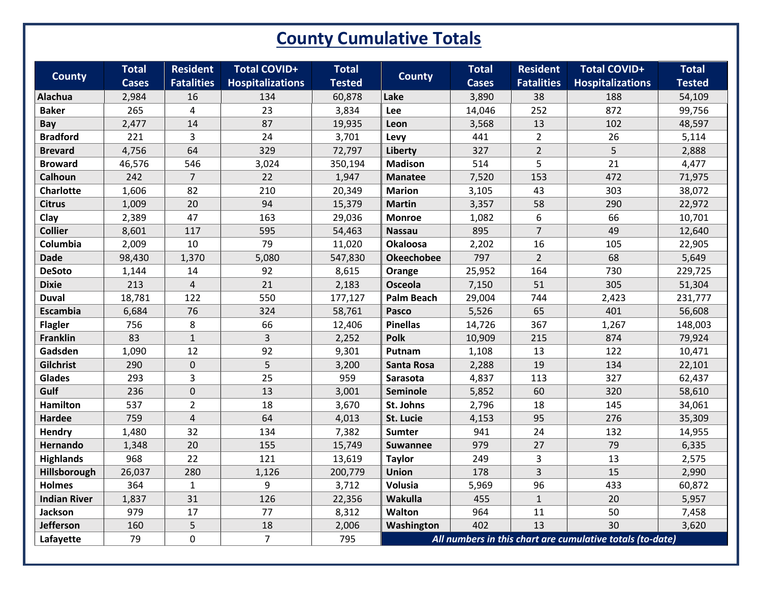## **County Cumulative Totals**

| <b>County</b>       | <b>Total</b> | <b>Resident</b>   | <b>Total COVID+</b>     | <b>Total</b>  | <b>County</b>                                             | <b>Total</b> | <b>Resident</b>   | <b>Total COVID+</b>     | <b>Total</b>  |
|---------------------|--------------|-------------------|-------------------------|---------------|-----------------------------------------------------------|--------------|-------------------|-------------------------|---------------|
|                     | <b>Cases</b> | <b>Fatalities</b> | <b>Hospitalizations</b> | <b>Tested</b> |                                                           | <b>Cases</b> | <b>Fatalities</b> | <b>Hospitalizations</b> | <b>Tested</b> |
| <b>Alachua</b>      | 2,984        | 16                | 134                     | 60,878        | Lake                                                      | 3,890        | 38                | 188                     | 54,109        |
| <b>Baker</b>        | 265          | $\overline{4}$    | 23                      | 3,834         | Lee                                                       | 14,046       | 252               | 872                     | 99,756        |
| Bay                 | 2,477        | 14                | 87                      | 19,935        | Leon                                                      | 3,568        | 13                | 102                     | 48,597        |
| <b>Bradford</b>     | 221          | $\overline{3}$    | 24                      | 3,701         | Levy                                                      | 441          | $\overline{2}$    | 26                      | 5,114         |
| <b>Brevard</b>      | 4,756        | 64                | 329                     | 72,797        | Liberty                                                   | 327          | $\overline{2}$    | 5                       | 2,888         |
| <b>Broward</b>      | 46,576       | 546               | 3,024                   | 350,194       | <b>Madison</b>                                            | 514          | 5                 | 21                      | 4,477         |
| Calhoun             | 242          | $\overline{7}$    | 22                      | 1,947         | <b>Manatee</b>                                            | 7,520        | 153               | 472                     | 71,975        |
| <b>Charlotte</b>    | 1,606        | 82                | 210                     | 20,349        | <b>Marion</b>                                             | 3,105        | 43                | 303                     | 38,072        |
| <b>Citrus</b>       | 1,009        | 20                | 94                      | 15,379        | <b>Martin</b>                                             | 3,357        | 58                | 290                     | 22,972        |
| Clay                | 2,389        | 47                | 163                     | 29,036        | <b>Monroe</b>                                             | 1,082        | 6                 | 66                      | 10,701        |
| <b>Collier</b>      | 8,601        | 117               | 595                     | 54,463        | <b>Nassau</b>                                             | 895          | $\overline{7}$    | 49                      | 12,640        |
| Columbia            | 2,009        | 10                | 79                      | 11,020        | <b>Okaloosa</b>                                           | 2,202        | 16                | 105                     | 22,905        |
| <b>Dade</b>         | 98,430       | 1,370             | 5,080                   | 547,830       | <b>Okeechobee</b>                                         | 797          | $\overline{2}$    | 68                      | 5,649         |
| <b>DeSoto</b>       | 1,144        | 14                | 92                      | 8,615         | Orange                                                    | 25,952       | 164               | 730                     | 229,725       |
| <b>Dixie</b>        | 213          | $\sqrt{4}$        | 21                      | 2,183         | Osceola                                                   | 7,150        | 51                | 305                     | 51,304        |
| <b>Duval</b>        | 18,781       | 122               | 550                     | 177,127       | <b>Palm Beach</b>                                         | 29,004       | 744               | 2,423                   | 231,777       |
| Escambia            | 6,684        | 76                | 324                     | 58,761        | Pasco                                                     | 5,526        | 65                | 401                     | 56,608        |
| <b>Flagler</b>      | 756          | 8                 | 66                      | 12,406        | <b>Pinellas</b>                                           | 14,726       | 367               | 1,267                   | 148,003       |
| <b>Franklin</b>     | 83           | $\mathbf{1}$      | 3                       | 2,252         | <b>Polk</b>                                               | 10,909       | 215               | 874                     | 79,924        |
| Gadsden             | 1,090        | 12                | 92                      | 9,301         | Putnam                                                    | 1,108        | 13                | 122                     | 10,471        |
| Gilchrist           | 290          | $\mathbf 0$       | 5                       | 3,200         | Santa Rosa                                                | 2,288        | 19                | 134                     | 22,101        |
| Glades              | 293          | 3                 | 25                      | 959           | Sarasota                                                  | 4,837        | 113               | 327                     | 62,437        |
| Gulf                | 236          | $\mathbf 0$       | 13                      | 3,001         | Seminole                                                  | 5,852        | 60                | 320                     | 58,610        |
| <b>Hamilton</b>     | 537          | $\overline{2}$    | 18                      | 3,670         | St. Johns                                                 | 2,796        | 18                | 145                     | 34,061        |
| Hardee              | 759          | $\overline{4}$    | 64                      | 4,013         | St. Lucie                                                 | 4,153        | 95                | 276                     | 35,309        |
| Hendry              | 1,480        | 32                | 134                     | 7,382         | <b>Sumter</b>                                             | 941          | 24                | 132                     | 14,955        |
| Hernando            | 1,348        | 20                | 155                     | 15,749        | <b>Suwannee</b>                                           | 979          | 27                | 79                      | 6,335         |
| <b>Highlands</b>    | 968          | 22                | 121                     | 13,619        | <b>Taylor</b>                                             | 249          | 3                 | 13                      | 2,575         |
| Hillsborough        | 26,037       | 280               | 1,126                   | 200,779       | <b>Union</b>                                              | 178          | $\overline{3}$    | 15                      | 2,990         |
| <b>Holmes</b>       | 364          | $\mathbf{1}$      | 9                       | 3,712         | Volusia                                                   | 5,969        | 96                | 433                     | 60,872        |
| <b>Indian River</b> | 1,837        | 31                | 126                     | 22,356        | Wakulla                                                   | 455          | $\mathbf{1}$      | 20                      | 5,957         |
| Jackson             | 979          | 17                | 77                      | 8,312         | Walton                                                    | 964          | $11\,$            | 50                      | 7,458         |
| <b>Jefferson</b>    | 160          | 5                 | 18                      | 2,006         | Washington                                                | 402          | 13                | 30                      | 3,620         |
| Lafayette           | 79           | $\mathbf 0$       | $\overline{7}$          | 795           | All numbers in this chart are cumulative totals (to-date) |              |                   |                         |               |